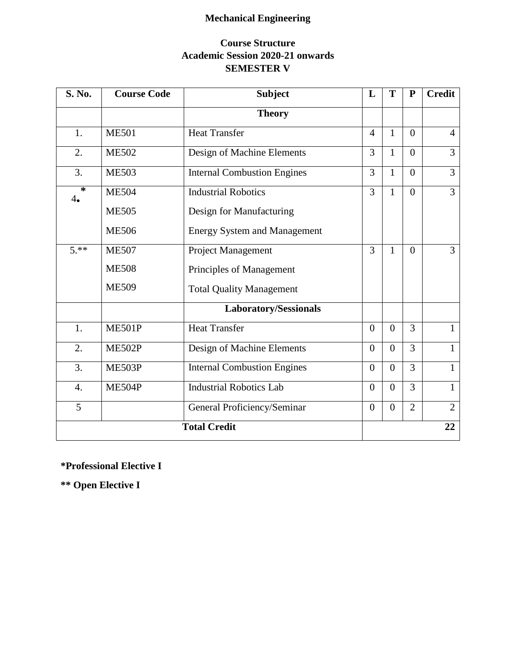# **Mechanical Engineering**

# **Course Structure Academic Session 2020-21 onwards SEMESTER V**

| S. No.              | <b>Course Code</b> | <b>Subject</b>                      | L              | T              | ${\bf P}$      | <b>Credit</b>  |
|---------------------|--------------------|-------------------------------------|----------------|----------------|----------------|----------------|
|                     |                    | <b>Theory</b>                       |                |                |                |                |
| 1.                  | <b>ME501</b>       | <b>Heat Transfer</b>                | $\overline{4}$ | $\mathbf{1}$   | $\overline{0}$ | $\overline{4}$ |
| 2.                  | <b>ME502</b>       | Design of Machine Elements          | 3              | $\mathbf{1}$   | $\overline{0}$ | 3              |
| 3.                  | <b>ME503</b>       | <b>Internal Combustion Engines</b>  | 3              | $\mathbf{1}$   | $\overline{0}$ | 3              |
| ∗<br>4.             | <b>ME504</b>       | <b>Industrial Robotics</b>          | 3              | $\mathbf{1}$   | $\Omega$       | $\overline{3}$ |
|                     | <b>ME505</b>       | Design for Manufacturing            |                |                |                |                |
|                     | <b>ME506</b>       | <b>Energy System and Management</b> |                |                |                |                |
| $5.**$              | <b>ME507</b>       | Project Management                  | 3              | $\mathbf{1}$   | $\Omega$       | 3              |
|                     | <b>ME508</b>       | Principles of Management            |                |                |                |                |
|                     | <b>ME509</b>       | <b>Total Quality Management</b>     |                |                |                |                |
|                     |                    | Laboratory/Sessionals               |                |                |                |                |
| 1.                  | <b>ME501P</b>      | <b>Heat Transfer</b>                | $\overline{0}$ | $\overline{0}$ | $\overline{3}$ | $\mathbf{1}$   |
| 2.                  | <b>ME502P</b>      | Design of Machine Elements          | $\overline{0}$ | $\overline{0}$ | 3              | $\mathbf{1}$   |
| 3.                  | ME503P             | <b>Internal Combustion Engines</b>  | $\overline{0}$ | $\overline{0}$ | 3              | $\mathbf{1}$   |
| $\overline{4}$ .    | ME504P             | <b>Industrial Robotics Lab</b>      | $\overline{0}$ | $\overline{0}$ | $\overline{3}$ | $\mathbf{1}$   |
| 5                   |                    | General Proficiency/Seminar         | $\overline{0}$ | $\overline{0}$ | $\overline{2}$ | $\overline{2}$ |
| <b>Total Credit</b> |                    |                                     |                |                |                | 22             |

**\*Professional Elective I**

**\*\* Open Elective I**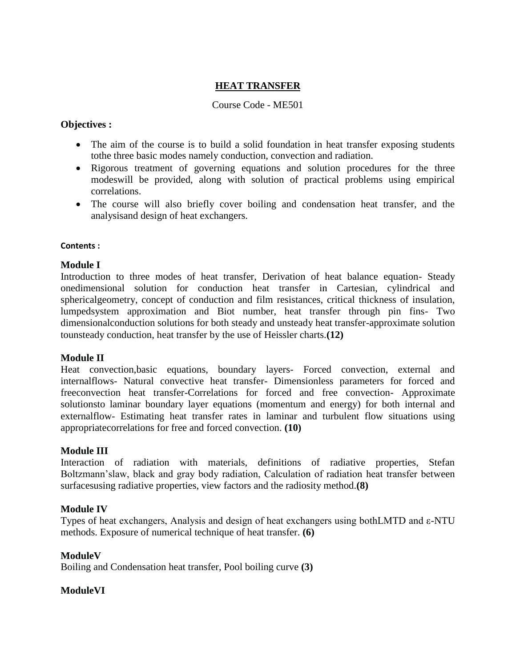#### **HEAT TRANSFER**

#### Course Code - ME501

#### **Objectives :**

- The aim of the course is to build a solid foundation in heat transfer exposing students tothe three basic modes namely conduction, convection and radiation.
- Rigorous treatment of governing equations and solution procedures for the three modeswill be provided, along with solution of practical problems using empirical correlations.
- The course will also briefly cover boiling and condensation heat transfer, and the analysisand design of heat exchangers.

#### **Contents :**

#### **Module I**

Introduction to three modes of heat transfer, Derivation of heat balance equation- Steady onedimensional solution for conduction heat transfer in Cartesian, cylindrical and sphericalgeometry, concept of conduction and film resistances, critical thickness of insulation, lumpedsystem approximation and Biot number, heat transfer through pin fins- Two dimensionalconduction solutions for both steady and unsteady heat transfer-approximate solution tounsteady conduction, heat transfer by the use of Heissler charts.**(12)**

#### **Module II**

Heat convection,basic equations, boundary layers- Forced convection, external and internalflows- Natural convective heat transfer- Dimensionless parameters for forced and freeconvection heat transfer-Correlations for forced and free convection- Approximate solutionsto laminar boundary layer equations (momentum and energy) for both internal and externalflow- Estimating heat transfer rates in laminar and turbulent flow situations using appropriatecorrelations for free and forced convection. **(10)**

#### **Module III**

Interaction of radiation with materials, definitions of radiative properties, Stefan Boltzmann'slaw, black and gray body radiation, Calculation of radiation heat transfer between surfacesusing radiative properties, view factors and the radiosity method.**(8)**

#### **Module IV**

Types of heat exchangers, Analysis and design of heat exchangers using bothLMTD and ε-NTU methods. Exposure of numerical technique of heat transfer. **(6)**

#### **ModuleV**

Boiling and Condensation heat transfer, Pool boiling curve **(3)**

#### **ModuleVI**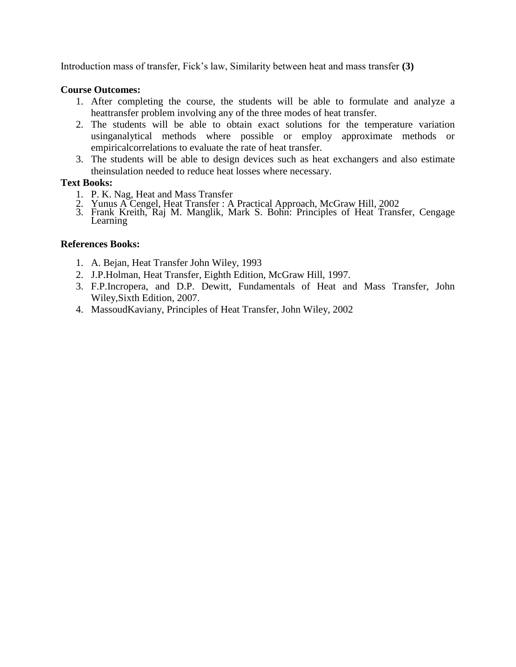Introduction mass of transfer, Fick's law, Similarity between heat and mass transfer **(3)**

#### **Course Outcomes:**

- 1. After completing the course, the students will be able to formulate and analyze a heattransfer problem involving any of the three modes of heat transfer.
- 2. The students will be able to obtain exact solutions for the temperature variation usinganalytical methods where possible or employ approximate methods or empiricalcorrelations to evaluate the rate of heat transfer.
- 3. The students will be able to design devices such as heat exchangers and also estimate theinsulation needed to reduce heat losses where necessary.

#### **Text Books:**

- 1. P. K. Nag, Heat and Mass Transfer
- 2. Yunus A Cengel, Heat Transfer : A Practical Approach, McGraw Hill, 2002
- 3. Frank Kreith, Raj M. Manglik, Mark S. Bohn: Principles of Heat Transfer, Cengage Learning

#### **References Books:**

- 1. A. Bejan, Heat Transfer John Wiley, 1993
- 2. J.P.Holman, Heat Transfer, Eighth Edition, McGraw Hill, 1997.
- 3. F.P.Incropera, and D.P. Dewitt, Fundamentals of Heat and Mass Transfer, John Wiley,Sixth Edition, 2007.
- 4. MassoudKaviany, Principles of Heat Transfer, John Wiley, 2002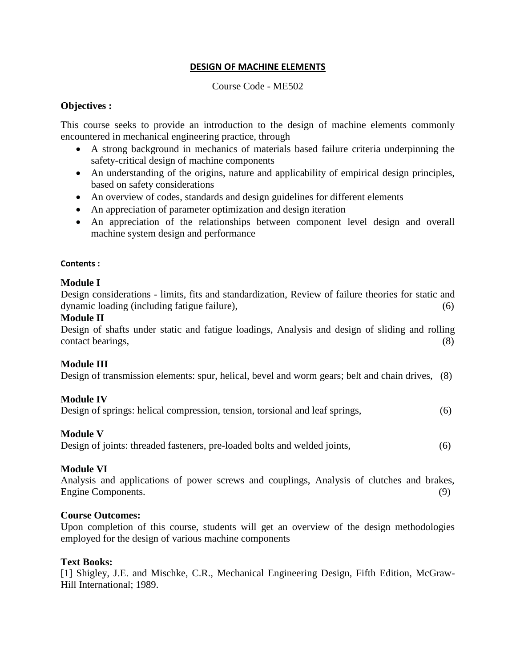#### **DESIGN OF MACHINE ELEMENTS**

#### Course Code - ME502

#### **Objectives :**

This course seeks to provide an introduction to the design of machine elements commonly encountered in mechanical engineering practice, through

- A strong background in mechanics of materials based failure criteria underpinning the safety-critical design of machine components
- An understanding of the origins, nature and applicability of empirical design principles, based on safety considerations
- An overview of codes, standards and design guidelines for different elements
- An appreciation of parameter optimization and design iteration
- An appreciation of the relationships between component level design and overall machine system design and performance

#### **Contents :**

#### **Module I**

Design considerations - limits, fits and standardization, Review of failure theories for static and dynamic loading (including fatigue failure), (6)

#### **Module II**

Design of shafts under static and fatigue loadings, Analysis and design of sliding and rolling contact bearings, (8)

# **Module III**

Design of transmission elements: spur, helical, bevel and worm gears; belt and chain drives, (8)

# **Module IV**

Design of springs: helical compression, tension, torsional and leaf springs, (6)

# **Module V**

Design of joints: threaded fasteners, pre-loaded bolts and welded joints, (6)

# **Module VI**

Analysis and applications of power screws and couplings, Analysis of clutches and brakes, Engine Components. (9)

#### **Course Outcomes:**

Upon completion of this course, students will get an overview of the design methodologies employed for the design of various machine components

#### **Text Books:**

[1] Shigley, J.E. and Mischke, C.R., Mechanical Engineering Design, Fifth Edition, McGraw-Hill International; 1989.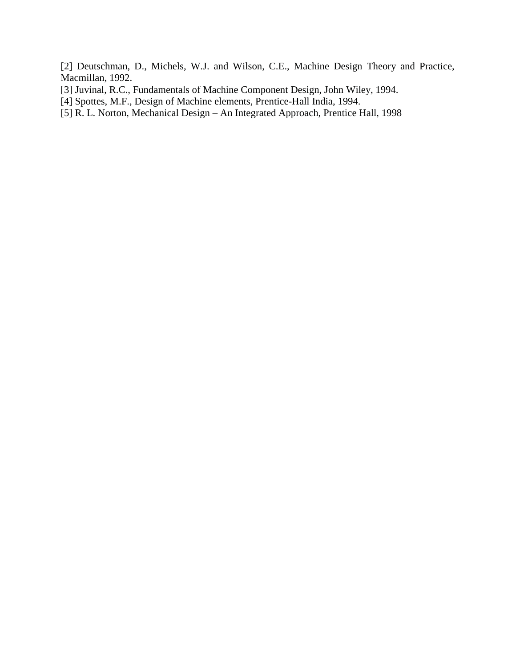[2] Deutschman, D., Michels, W.J. and Wilson, C.E., Machine Design Theory and Practice, Macmillan, 1992.

- [3] Juvinal, R.C., Fundamentals of Machine Component Design, John Wiley, 1994.
- [4] Spottes, M.F., Design of Machine elements, Prentice-Hall India, 1994.
- [5] R. L. Norton, Mechanical Design An Integrated Approach, Prentice Hall, 1998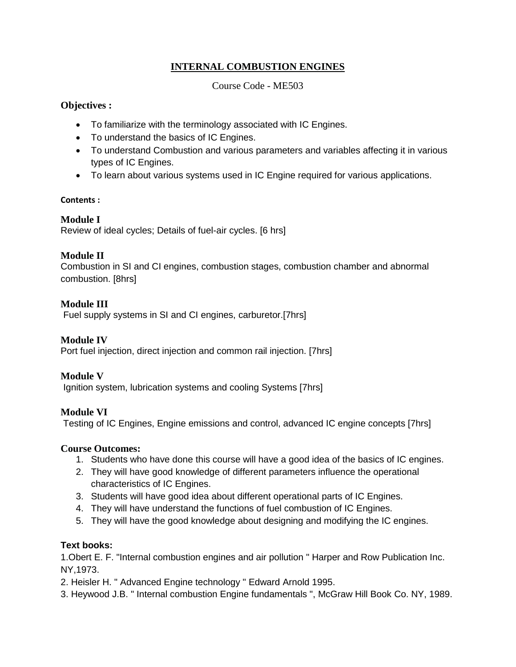# **INTERNAL COMBUSTION ENGINES**

Course Code - ME503

#### **Objectives :**

- To familiarize with the terminology associated with IC Engines.
- To understand the basics of IC Engines.
- To understand Combustion and various parameters and variables affecting it in various types of IC Engines.
- To learn about various systems used in IC Engine required for various applications.

#### **Contents :**

# **Module I**

Review of ideal cycles; Details of fuel-air cycles. [6 hrs]

# **Module II**

Combustion in SI and CI engines, combustion stages, combustion chamber and abnormal combustion. [8hrs]

# **Module III**

Fuel supply systems in SI and CI engines, carburetor.[7hrs]

# **Module IV**

Port fuel injection, direct injection and common rail injection. [7hrs]

# **Module V**

Ignition system, lubrication systems and cooling Systems [7hrs]

# **Module VI**

Testing of IC Engines, Engine emissions and control, advanced IC engine concepts [7hrs]

#### **Course Outcomes:**

- 1. Students who have done this course will have a good idea of the basics of IC engines.
- 2. They will have good knowledge of different parameters influence the operational characteristics of IC Engines.
- 3. Students will have good idea about different operational parts of IC Engines.
- 4. They will have understand the functions of fuel combustion of IC Engines.
- 5. They will have the good knowledge about designing and modifying the IC engines.

# **Text books:**

1.Obert E. F. "Internal combustion engines and air pollution " Harper and Row Publication Inc. NY,1973.

- 2. Heisler H. " Advanced Engine technology " Edward Arnold 1995.
- 3. Heywood J.B. " Internal combustion Engine fundamentals ", McGraw Hill Book Co. NY, 1989.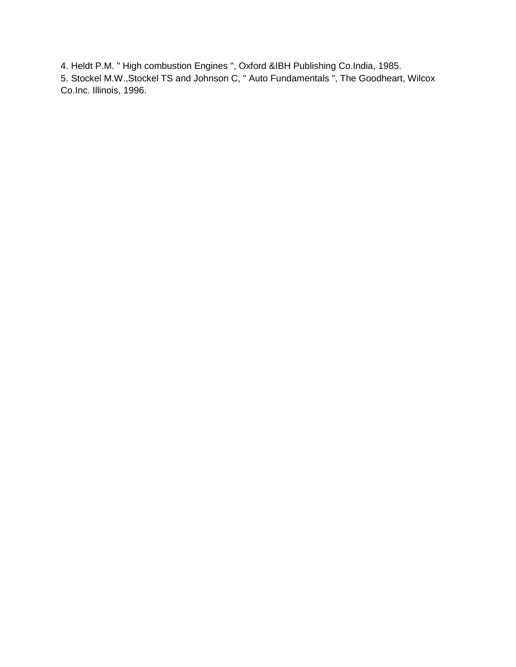4. Heldt P.M. " High combustion Engines ", Oxford &IBH Publishing Co.India, 1985.

5. Stockel M.W.,Stockel TS and Johnson C, " Auto Fundamentals ", The Goodheart, Wilcox Co.Inc. Illinois, 1996.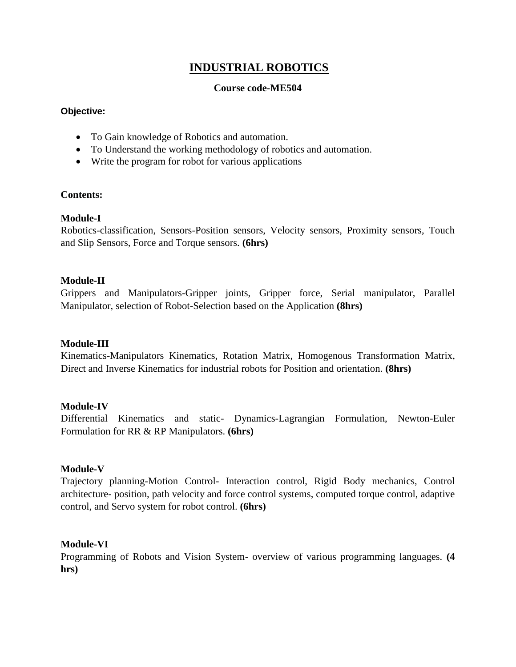# **INDUSTRIAL ROBOTICS**

#### **Course code-ME504**

#### **Objective:**

- To Gain knowledge of Robotics and automation.
- To Understand the working methodology of robotics and automation.
- Write the program for robot for various applications

# **Contents:**

# **Module-I**

Robotics-classification, Sensors-Position sensors, Velocity sensors, Proximity sensors, Touch and Slip Sensors, Force and Torque sensors. **(6hrs)**

#### **Module-II**

Grippers and Manipulators-Gripper joints, Gripper force, Serial manipulator, Parallel Manipulator, selection of Robot-Selection based on the Application **(8hrs)**

# **Module-III**

Kinematics-Manipulators Kinematics, Rotation Matrix, Homogenous Transformation Matrix, Direct and Inverse Kinematics for industrial robots for Position and orientation. **(8hrs)**

#### **Module-IV**

Differential Kinematics and static- Dynamics-Lagrangian Formulation, Newton-Euler Formulation for RR & RP Manipulators. **(6hrs)**

# **Module-V**

Trajectory planning-Motion Control- Interaction control, Rigid Body mechanics, Control architecture- position, path velocity and force control systems, computed torque control, adaptive control, and Servo system for robot control. **(6hrs)**

#### **Module-VI**

Programming of Robots and Vision System- overview of various programming languages. **(4 hrs)**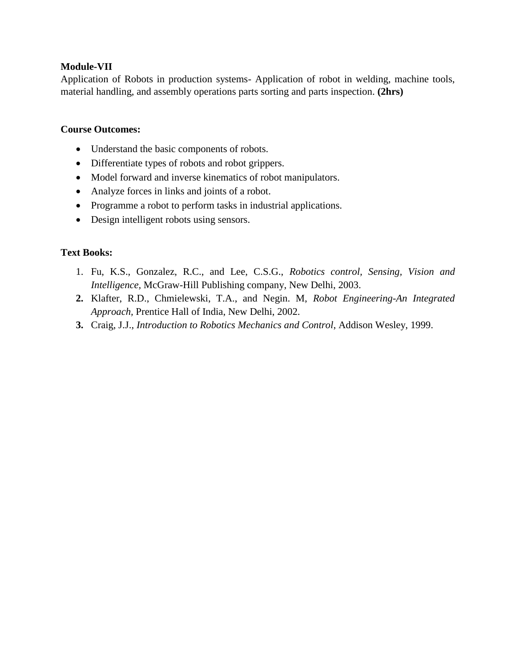# **Module-VII**

Application of Robots in production systems- Application of robot in welding, machine tools, material handling, and assembly operations parts sorting and parts inspection. **(2hrs)**

#### **Course Outcomes:**

- Understand the basic components of robots.
- Differentiate types of robots and robot grippers.
- Model forward and inverse kinematics of robot manipulators.
- Analyze forces in links and joints of a robot.
- Programme a robot to perform tasks in industrial applications.
- Design intelligent robots using sensors.

- 1. Fu, K.S., Gonzalez, R.C., and Lee, C.S.G., *Robotics control, Sensing, Vision and Intelligence,* McGraw-Hill Publishing company, New Delhi, 2003.
- **2.** Klafter, R.D., Chmielewski, T.A., and Negin. M, *Robot Engineering-An Integrated Approach,* Prentice Hall of India, New Delhi, 2002.
- **3.** Craig, J.J., *Introduction to Robotics Mechanics and Control*, Addison Wesley, 1999.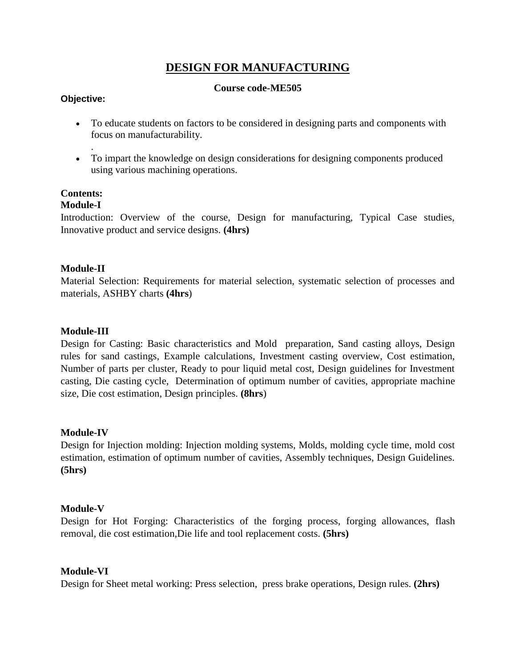# **DESIGN FOR MANUFACTURING**

#### **Course code-ME505**

#### **Objective:**

.

- To educate students on factors to be considered in designing parts and components with focus on manufacturability.
- To impart the knowledge on design considerations for designing components produced using various machining operations.

# **Contents:**

# **Module-I**

Introduction: Overview of the course, Design for manufacturing, Typical Case studies, Innovative product and service designs. **(4hrs)**

# **Module-II**

Material Selection: Requirements for material selection, systematic selection of processes and materials, ASHBY charts **(4hrs**)

#### **Module-III**

Design for Casting: Basic characteristics and Mold preparation, Sand casting alloys, Design rules for sand castings, Example calculations, Investment casting overview, Cost estimation, Number of parts per cluster, Ready to pour liquid metal cost, Design guidelines for Investment casting, Die casting cycle, Determination of optimum number of cavities, appropriate machine size, Die cost estimation, Design principles. **(8hrs**)

# **Module-IV**

Design for Injection molding: Injection molding systems, Molds, molding cycle time, mold cost estimation, estimation of optimum number of cavities, Assembly techniques, Design Guidelines. **(5hrs)**

#### **Module-V**

Design for Hot Forging: Characteristics of the forging process, forging allowances, flash removal, die cost estimation,Die life and tool replacement costs. **(5hrs)**

# **Module-VI**

Design for Sheet metal working: Press selection, press brake operations, Design rules. **(2hrs)**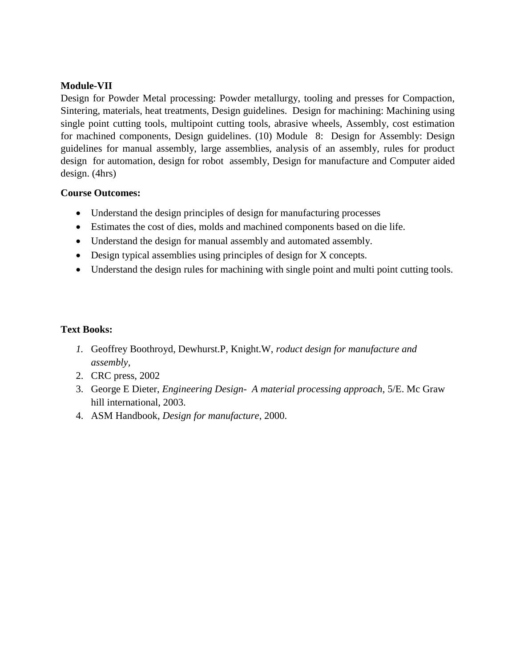# **Module-VII**

Design for Powder Metal processing: Powder metallurgy, tooling and presses for Compaction, Sintering, materials, heat treatments, Design guidelines. Design for machining: Machining using single point cutting tools, multipoint cutting tools, abrasive wheels, Assembly, cost estimation for machined components, Design guidelines. (10) Module 8: Design for Assembly: Design guidelines for manual assembly, large assemblies, analysis of an assembly, rules for product design for automation, design for robot assembly, Design for manufacture and Computer aided design. (4hrs)

# **Course Outcomes:**

- Understand the design principles of design for manufacturing processes
- Estimates the cost of dies, molds and machined components based on die life.
- Understand the design for manual assembly and automated assembly.
- Design typical assemblies using principles of design for X concepts.
- Understand the design rules for machining with single point and multi point cutting tools.

- *1.* Geoffrey Boothroyd, Dewhurst.P, Knight.W, *roduct design for manufacture and assembly,*
- 2. CRC press, 2002
- 3. George E Dieter, *Engineering Design- A material processing approach*, 5/E. Mc Graw hill international, 2003.
- 4. ASM Handbook, *Design for manufacture*, 2000.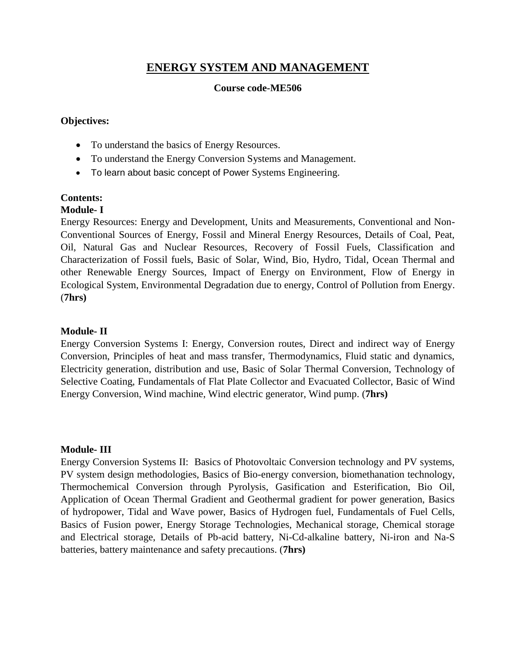# **ENERGY SYSTEM AND MANAGEMENT**

#### **Course code-ME506**

#### **Objectives:**

- To understand the basics of Energy Resources.
- To understand the Energy Conversion Systems and Management.
- To learn about basic concept of Power Systems Engineering.

# **Contents:**

#### **Module- I**

Energy Resources: Energy and Development, Units and Measurements, Conventional and Non-Conventional Sources of Energy, Fossil and Mineral Energy Resources, Details of Coal, Peat, Oil, Natural Gas and Nuclear Resources, Recovery of Fossil Fuels, Classification and Characterization of Fossil fuels, Basic of Solar, Wind, Bio, Hydro, Tidal, Ocean Thermal and other Renewable Energy Sources, Impact of Energy on Environment, Flow of Energy in Ecological System, Environmental Degradation due to energy, Control of Pollution from Energy. (**7hrs)**

#### **Module- II**

Energy Conversion Systems I: Energy, Conversion routes, Direct and indirect way of Energy Conversion, Principles of heat and mass transfer, Thermodynamics, Fluid static and dynamics, Electricity generation, distribution and use, Basic of Solar Thermal Conversion, Technology of Selective Coating, Fundamentals of Flat Plate Collector and Evacuated Collector, Basic of Wind Energy Conversion, Wind machine, Wind electric generator, Wind pump. (**7hrs)**

#### **Module- III**

Energy Conversion Systems II: Basics of Photovoltaic Conversion technology and PV systems, PV system design methodologies, Basics of Bio-energy conversion, biomethanation technology, Thermochemical Conversion through Pyrolysis, Gasification and Esterification, Bio Oil, Application of Ocean Thermal Gradient and Geothermal gradient for power generation, Basics of hydropower, Tidal and Wave power, Basics of Hydrogen fuel, Fundamentals of Fuel Cells, Basics of Fusion power, Energy Storage Technologies, Mechanical storage, Chemical storage and Electrical storage, Details of Pb-acid battery, Ni-Cd-alkaline battery, Ni-iron and Na-S batteries, battery maintenance and safety precautions. (**7hrs)**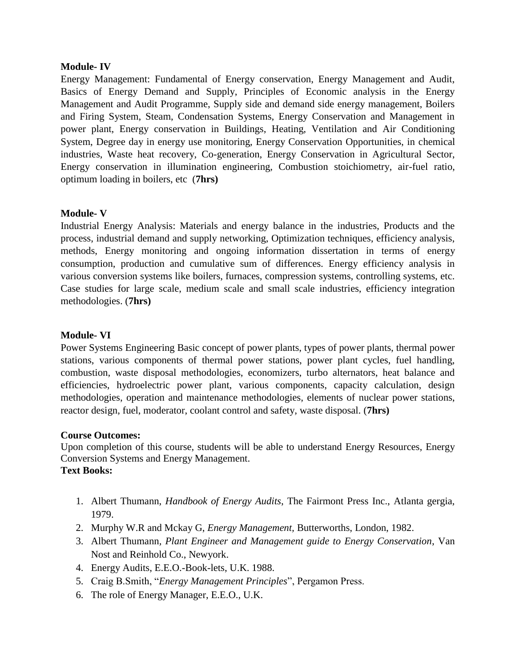#### **Module- IV**

Energy Management: Fundamental of Energy conservation, Energy Management and Audit, Basics of Energy Demand and Supply, Principles of Economic analysis in the Energy Management and Audit Programme, Supply side and demand side energy management, Boilers and Firing System, Steam, Condensation Systems, Energy Conservation and Management in power plant, Energy conservation in Buildings, Heating, Ventilation and Air Conditioning System, Degree day in energy use monitoring, Energy Conservation Opportunities, in chemical industries, Waste heat recovery, Co-generation, Energy Conservation in Agricultural Sector, Energy conservation in illumination engineering, Combustion stoichiometry, air-fuel ratio, optimum loading in boilers, etc (**7hrs)**

#### **Module- V**

Industrial Energy Analysis: Materials and energy balance in the industries, Products and the process, industrial demand and supply networking, Optimization techniques, efficiency analysis, methods, Energy monitoring and ongoing information dissertation in terms of energy consumption, production and cumulative sum of differences. Energy efficiency analysis in various conversion systems like boilers, furnaces, compression systems, controlling systems, etc. Case studies for large scale, medium scale and small scale industries, efficiency integration methodologies. (**7hrs)**

#### **Module- VI**

Power Systems Engineering Basic concept of power plants, types of power plants, thermal power stations, various components of thermal power stations, power plant cycles, fuel handling, combustion, waste disposal methodologies, economizers, turbo alternators, heat balance and efficiencies, hydroelectric power plant, various components, capacity calculation, design methodologies, operation and maintenance methodologies, elements of nuclear power stations, reactor design, fuel, moderator, coolant control and safety, waste disposal. (**7hrs)**

#### **Course Outcomes:**

Upon completion of this course, students will be able to understand Energy Resources, Energy Conversion Systems and Energy Management.

- 1. Albert Thumann, *Handbook of Energy Audits*, The Fairmont Press Inc., Atlanta gergia, 1979.
- 2. Murphy W.R and Mckay G, *Energy Management,* Butterworths, London, 1982.
- 3. Albert Thumann*, Plant Engineer and Management guide to Energy Conservation*, Van Nost and Reinhold Co., Newyork.
- 4. Energy Audits, E.E.O.-Book-lets, U.K. 1988.
- 5. Craig B.Smith, "*Energy Management Principles*", Pergamon Press.
- 6. The role of Energy Manager, E.E.O., U.K.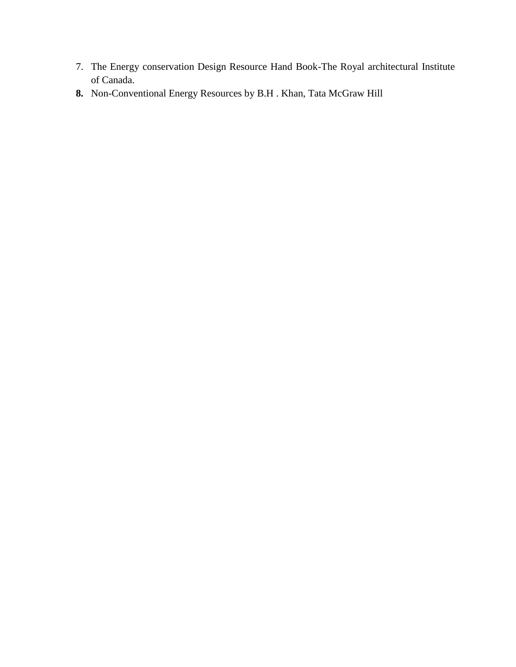- 7. The Energy conservation Design Resource Hand Book-The Royal architectural Institute of Canada.
- **8.** Non-Conventional Energy Resources by B.H . Khan, Tata McGraw Hill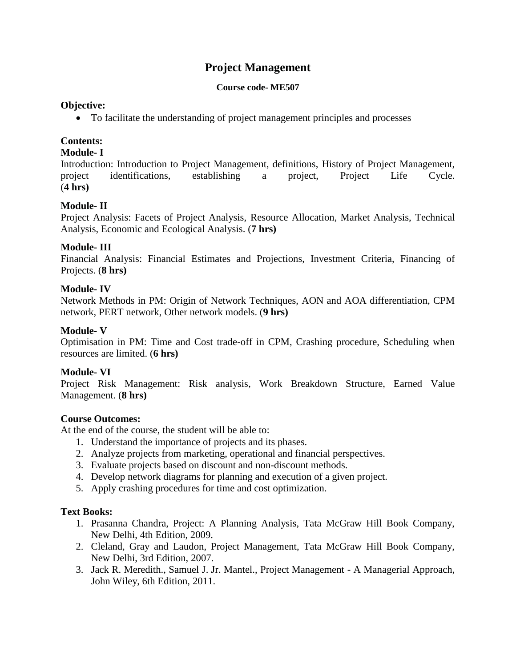# **Project Management**

#### **Course code- ME507**

#### **Objective:**

To facilitate the understanding of project management principles and processes

# **Contents:**

#### **Module- I**

Introduction: Introduction to Project Management, definitions, History of Project Management, project identifications, establishing a project, Project Life Cycle. (**4 hrs)**

# **Module- II**

Project Analysis: Facets of Project Analysis, Resource Allocation, Market Analysis, Technical Analysis, Economic and Ecological Analysis. (**7 hrs)**

# **Module- III**

Financial Analysis: Financial Estimates and Projections, Investment Criteria, Financing of Projects. (**8 hrs)**

# **Module- IV**

Network Methods in PM: Origin of Network Techniques, AON and AOA differentiation, CPM network, PERT network, Other network models. (**9 hrs)**

# **Module- V**

Optimisation in PM: Time and Cost trade-off in CPM, Crashing procedure, Scheduling when resources are limited. (**6 hrs)**

# **Module- VI**

Project Risk Management: Risk analysis, Work Breakdown Structure, Earned Value Management. (**8 hrs)**

# **Course Outcomes:**

At the end of the course, the student will be able to:

- 1. Understand the importance of projects and its phases.
- 2. Analyze projects from marketing, operational and financial perspectives.
- 3. Evaluate projects based on discount and non-discount methods.
- 4. Develop network diagrams for planning and execution of a given project.
- 5. Apply crashing procedures for time and cost optimization.

- 1. Prasanna Chandra, Project: A Planning Analysis, Tata McGraw Hill Book Company, New Delhi, 4th Edition, 2009.
- 2. Cleland, Gray and Laudon, Project Management, Tata McGraw Hill Book Company, New Delhi, 3rd Edition, 2007.
- 3. Jack R. Meredith., Samuel J. Jr. Mantel., Project Management A Managerial Approach, John Wiley, 6th Edition, 2011.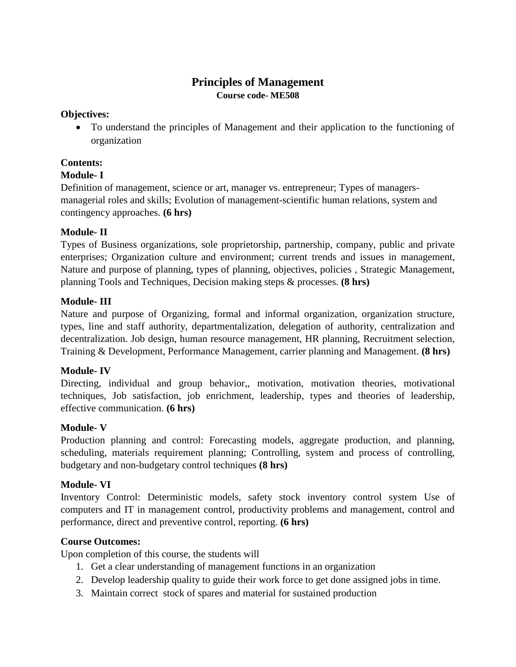# **Principles of Management Course code- ME508**

# **Objectives:**

 To understand the principles of Management and their application to the functioning of organization

# **Contents:**

# **Module- I**

Definition of management, science or art, manager vs. entrepreneur; Types of managersmanagerial roles and skills; Evolution of management-scientific human relations, system and contingency approaches. **(6 hrs)**

# **Module- II**

Types of Business organizations, sole proprietorship, partnership, company, public and private enterprises; Organization culture and environment; current trends and issues in management, Nature and purpose of planning, types of planning, objectives, policies , Strategic Management, planning Tools and Techniques, Decision making steps & processes. **(8 hrs)**

# **Module- III**

Nature and purpose of Organizing, formal and informal organization, organization structure, types, line and staff authority, departmentalization, delegation of authority, centralization and decentralization. Job design, human resource management, HR planning, Recruitment selection, Training & Development, Performance Management, carrier planning and Management. **(8 hrs)**

# **Module- IV**

Directing, individual and group behavior,, motivation, motivation theories, motivational techniques, Job satisfaction, job enrichment, leadership, types and theories of leadership, effective communication. **(6 hrs)**

# **Module- V**

Production planning and control: Forecasting models, aggregate production, and planning, scheduling, materials requirement planning; Controlling, system and process of controlling, budgetary and non-budgetary control techniques **(8 hrs)**

# **Module- VI**

Inventory Control: Deterministic models, safety stock inventory control system Use of computers and IT in management control, productivity problems and management, control and performance, direct and preventive control, reporting. **(6 hrs)**

# **Course Outcomes:**

Upon completion of this course, the students will

- 1. Get a clear understanding of management functions in an organization
- 2. Develop leadership quality to guide their work force to get done assigned jobs in time.
- 3. Maintain correct stock of spares and material for sustained production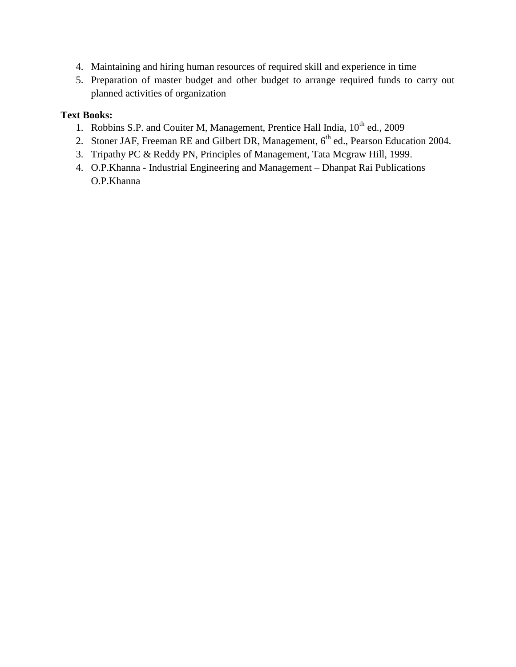- 4. Maintaining and hiring human resources of required skill and experience in time
- 5. Preparation of master budget and other budget to arrange required funds to carry out planned activities of organization

- 1. Robbins S.P. and Couiter M, Management, Prentice Hall India,  $10^{th}$  ed., 2009
- 2. Stoner JAF, Freeman RE and Gilbert DR, Management, 6<sup>th</sup> ed., Pearson Education 2004.
- 3. Tripathy PC & Reddy PN, Principles of Management, Tata Mcgraw Hill, 1999.
- 4. O.P.Khanna Industrial Engineering and Management Dhanpat Rai Publications O.P.Khanna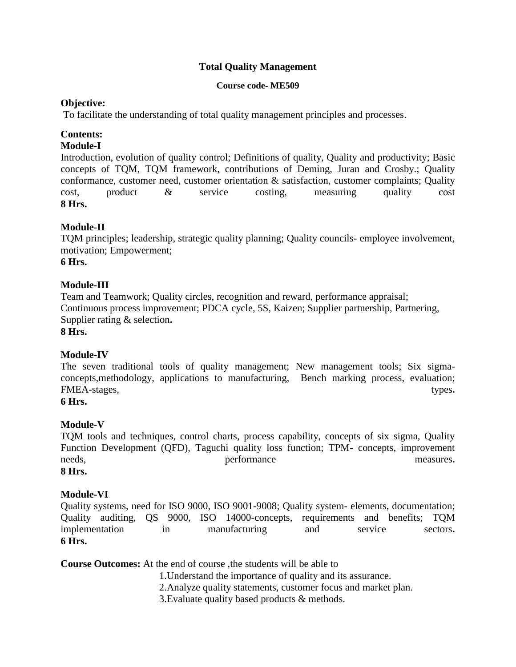# **Total Quality Management**

#### **Course code- ME509**

# **Objective:**

To facilitate the understanding of total quality management principles and processes.

# **Contents:**

# **Module-I**

Introduction, evolution of quality control; Definitions of quality, Quality and productivity; Basic concepts of TQM, TQM framework, contributions of Deming, Juran and Crosby.; Quality conformance, customer need, customer orientation & satisfaction, customer complaints; Quality cost, product & service costing, measuring quality cost **8 Hrs.**

# **Module-II**

TQM principles; leadership, strategic quality planning; Quality councils- employee involvement, motivation; Empowerment;

**6 Hrs.**

# **Module-III**

Team and Teamwork; Quality circles, recognition and reward, performance appraisal; Continuous process improvement; PDCA cycle, 5S, Kaizen; Supplier partnership, Partnering, Supplier rating & selection**.** 

**8 Hrs.**

# **Module-IV**

The seven traditional tools of quality management; New management tools; Six sigmaconcepts,methodology, applications to manufacturing, Bench marking process, evaluation; FMEA-stages, types. **types** 

**6 Hrs.**

# **Module-V**

TQM tools and techniques, control charts, process capability, concepts of six sigma, Quality Function Development (QFD), Taguchi quality loss function; TPM- concepts, improvement needs, **performance example 1 performance example 1 measures**. **8 Hrs.**

# **Module-VI**

Quality systems, need for ISO 9000, ISO 9001-9008; Quality system- elements, documentation; Quality auditing, QS 9000, ISO 14000-concepts, requirements and benefits; TQM implementation in manufacturing and service sectors**. 6 Hrs.**

**Course Outcomes:** At the end of course ,the students will be able to

- 1.Understand the importance of quality and its assurance.
- 2.Analyze quality statements, customer focus and market plan.
- 3.Evaluate quality based products & methods.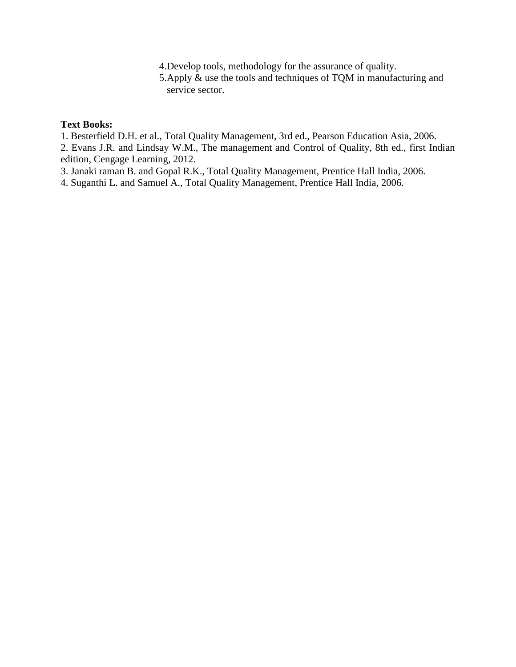4.Develop tools, methodology for the assurance of quality.

5.Apply & use the tools and techniques of TQM in manufacturing and service sector.

#### **Text Books:**

1. Besterfield D.H. et al., Total Quality Management, 3rd ed., Pearson Education Asia, 2006.

2. Evans J.R. and Lindsay W.M., The management and Control of Quality, 8th ed., first Indian edition, Cengage Learning, 2012.

3. Janaki raman B. and Gopal R.K., Total Quality Management, Prentice Hall India, 2006.

4. Suganthi L. and Samuel A., Total Quality Management, Prentice Hall India, 2006.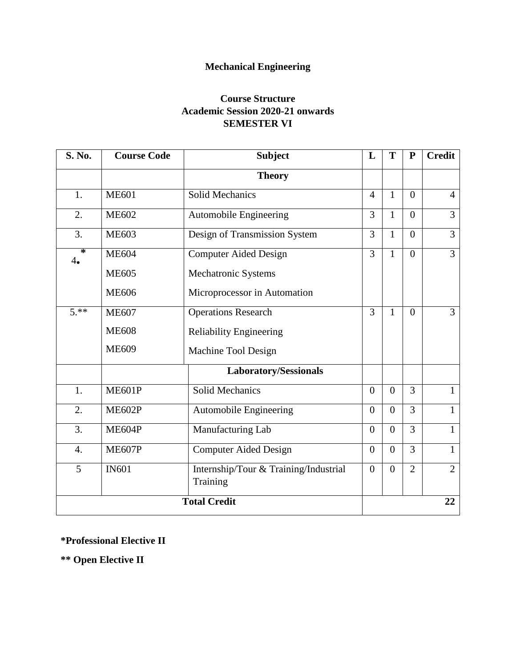# **Mechanical Engineering**

# **Course Structure Academic Session 2020-21 onwards SEMESTER VI**

| S. No.              | <b>Course Code</b> | <b>Subject</b>                                    | L              | T              | ${\bf P}$      | <b>Credit</b>  |
|---------------------|--------------------|---------------------------------------------------|----------------|----------------|----------------|----------------|
|                     |                    | <b>Theory</b>                                     |                |                |                |                |
| 1.                  | <b>ME601</b>       | <b>Solid Mechanics</b>                            | $\overline{4}$ | $\mathbf{1}$   | $\overline{0}$ | $\overline{4}$ |
| 2.                  | <b>ME602</b>       | <b>Automobile Engineering</b>                     | 3              | $\mathbf{1}$   | $\overline{0}$ | $\overline{3}$ |
| 3.                  | <b>ME603</b>       | Design of Transmission System                     | 3              | $\mathbf{1}$   | $\overline{0}$ | 3              |
| ∗<br>4.             | <b>ME604</b>       | <b>Computer Aided Design</b>                      | 3              | $\mathbf{1}$   | $\overline{0}$ | $\overline{3}$ |
|                     | <b>ME605</b>       | Mechatronic Systems                               |                |                |                |                |
|                     | <b>ME606</b>       | Microprocessor in Automation                      |                |                |                |                |
| $5.**$              | <b>ME607</b>       | <b>Operations Research</b>                        | 3              | $\mathbf{1}$   | $\overline{0}$ | $\overline{3}$ |
|                     | <b>ME608</b>       | <b>Reliability Engineering</b>                    |                |                |                |                |
|                     | <b>ME609</b>       | Machine Tool Design                               |                |                |                |                |
|                     |                    | Laboratory/Sessionals                             |                |                |                |                |
| 1.                  | <b>ME601P</b>      | <b>Solid Mechanics</b>                            | $\overline{0}$ | $\overline{0}$ | 3              | $\mathbf{1}$   |
| 2.                  | <b>ME602P</b>      | Automobile Engineering                            | $\overline{0}$ | $\overline{0}$ | 3              | $\mathbf{1}$   |
| 3.                  | <b>ME604P</b>      | Manufacturing Lab                                 | $\overline{0}$ | $\overline{0}$ | 3              | $\mathbf{1}$   |
| $\overline{4}$ .    | <b>ME607P</b>      | <b>Computer Aided Design</b>                      | $\overline{0}$ | $\overline{0}$ | 3              | $\mathbf{1}$   |
| 5                   | <b>IN601</b>       | Internship/Tour & Training/Industrial<br>Training | $\overline{0}$ | $\overline{0}$ | $\overline{2}$ | $\overline{2}$ |
| <b>Total Credit</b> |                    |                                                   |                |                |                | 22             |

# **\*Professional Elective II**

**\*\* Open Elective II**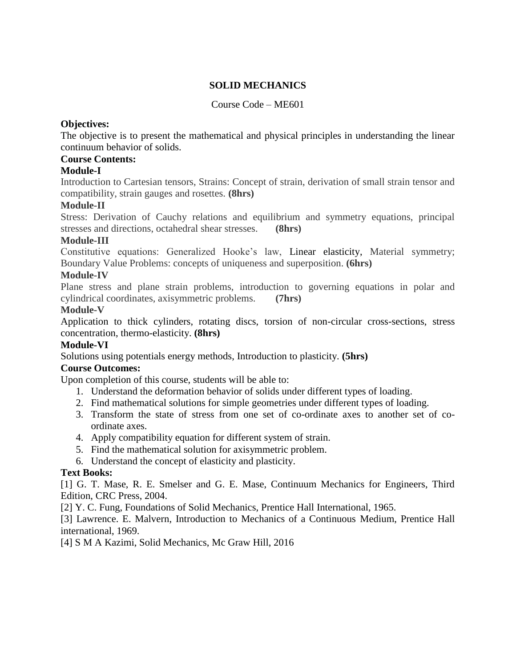# **SOLID MECHANICS**

# Course Code – ME601

#### **Objectives:**

The objective is to present the mathematical and physical principles in understanding the linear continuum behavior of solids.

#### **Course Contents:**

# **Module-I**

Introduction to Cartesian tensors, Strains: Concept of strain, derivation of small strain tensor and compatibility, strain gauges and rosettes. **(8hrs)**

#### **Module-II**

Stress: Derivation of Cauchy relations and equilibrium and symmetry equations, principal stresses and directions, octahedral shear stresses. **(8hrs)**

#### **Module-III**

Constitutive equations: Generalized Hooke's law, Linear elasticity, Material symmetry; Boundary Value Problems: concepts of uniqueness and superposition. **(6hrs)**

#### **Module-IV**

Plane stress and plane strain problems, introduction to governing equations in polar and cylindrical coordinates, axisymmetric problems. **(7hrs)**

#### **Module-V**

Application to thick cylinders, rotating discs, torsion of non-circular cross-sections, stress concentration, thermo-elasticity. **(8hrs)**

#### **Module-VI**

Solutions using potentials energy methods, Introduction to plasticity. **(5hrs)**

# **Course Outcomes:**

Upon completion of this course, students will be able to:

- 1. Understand the deformation behavior of solids under different types of loading.
- 2. Find mathematical solutions for simple geometries under different types of loading.
- 3. Transform the state of stress from one set of co-ordinate axes to another set of coordinate axes.
- 4. Apply compatibility equation for different system of strain.
- 5. Find the mathematical solution for axisymmetric problem.
- 6. Understand the concept of elasticity and plasticity.

# **Text Books:**

[1] G. T. Mase, R. E. Smelser and G. E. Mase, Continuum Mechanics for Engineers, Third Edition, CRC Press, 2004.

[2] Y. C. Fung, Foundations of Solid Mechanics, Prentice Hall International, 1965.

[3] Lawrence. E. Malvern, Introduction to Mechanics of a Continuous Medium, Prentice Hall international, 1969.

[4] S M A Kazimi, Solid Mechanics, Mc Graw Hill, 2016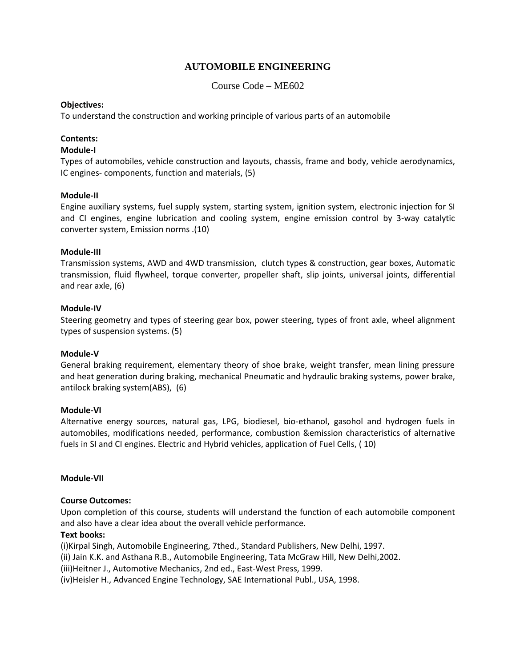# **AUTOMOBILE ENGINEERING**

Course Code – ME602

#### **Objectives:**

To understand the construction and working principle of various parts of an automobile

#### **Contents:**

#### **Module-I**

Types of automobiles, vehicle construction and layouts, chassis, frame and body, vehicle aerodynamics, IC engines- components, function and materials, (5)

#### **Module-II**

Engine auxiliary systems, fuel supply system, starting system, ignition system, electronic injection for SI and CI engines, engine lubrication and cooling system, engine emission control by 3-way catalytic converter system, Emission norms .(10)

#### **Module-III**

Transmission systems, AWD and 4WD transmission, clutch types & construction, gear boxes, Automatic transmission, fluid flywheel, torque converter, propeller shaft, slip joints, universal joints, differential and rear axle, (6)

#### **Module-IV**

Steering geometry and types of steering gear box, power steering, types of front axle, wheel alignment types of suspension systems. (5)

#### **Module-V**

General braking requirement, elementary theory of shoe brake, weight transfer, mean lining pressure and heat generation during braking, mechanical Pneumatic and hydraulic braking systems, power brake, antilock braking system(ABS), (6)

#### **Module-VI**

Alternative energy sources, natural gas, LPG, biodiesel, bio-ethanol, gasohol and hydrogen fuels in automobiles, modifications needed, performance, combustion &emission characteristics of alternative fuels in SI and CI engines. Electric and Hybrid vehicles, application of Fuel Cells, ( 10)

#### **Module-VII**

#### **Course Outcomes:**

Upon completion of this course, students will understand the function of each automobile component and also have a clear idea about the overall vehicle performance.

#### **Text books:**

(i)Kirpal Singh, Automobile Engineering, 7thed., Standard Publishers, New Delhi, 1997.

(ii) Jain K.K. and Asthana R.B., Automobile Engineering, Tata McGraw Hill, New Delhi,2002.

(iii)Heitner J., Automotive Mechanics, 2nd ed., East-West Press, 1999.

(iv)Heisler H., Advanced Engine Technology, SAE International Publ., USA, 1998.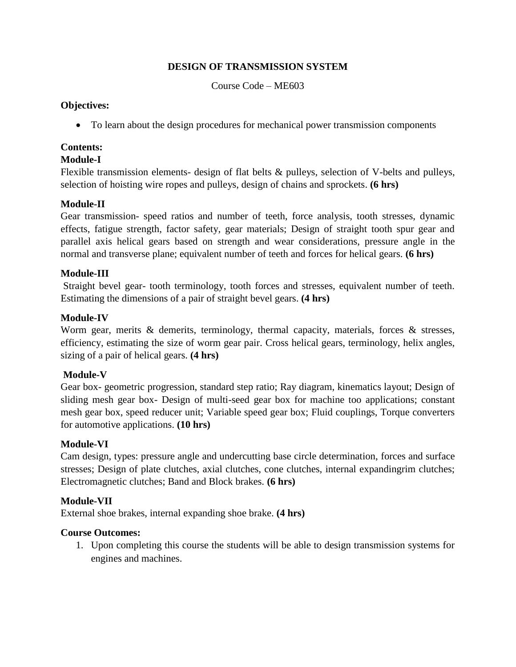# **DESIGN OF TRANSMISSION SYSTEM**

Course Code – ME603

#### **Objectives:**

To learn about the design procedures for mechanical power transmission components

# **Contents:**

# **Module-I**

Flexible transmission elements- design of flat belts & pulleys, selection of V-belts and pulleys, selection of hoisting wire ropes and pulleys, design of chains and sprockets. **(6 hrs)**

# **Module-II**

Gear transmission- speed ratios and number of teeth, force analysis, tooth stresses, dynamic effects, fatigue strength, factor safety, gear materials; Design of straight tooth spur gear and parallel axis helical gears based on strength and wear considerations, pressure angle in the normal and transverse plane; equivalent number of teeth and forces for helical gears. **(6 hrs)**

# **Module-III**

Straight bevel gear- tooth terminology, tooth forces and stresses, equivalent number of teeth. Estimating the dimensions of a pair of straight bevel gears. **(4 hrs)**

# **Module-IV**

Worm gear, merits  $\&$  demerits, terminology, thermal capacity, materials, forces  $\&$  stresses, efficiency, estimating the size of worm gear pair. Cross helical gears, terminology, helix angles, sizing of a pair of helical gears. **(4 hrs)**

# **Module-V**

Gear box- geometric progression, standard step ratio; Ray diagram, kinematics layout; Design of sliding mesh gear box- Design of multi-seed gear box for machine too applications; constant mesh gear box, speed reducer unit; Variable speed gear box; Fluid couplings, Torque converters for automotive applications. **(10 hrs)** 

# **Module-VI**

Cam design, types: pressure angle and undercutting base circle determination, forces and surface stresses; Design of plate clutches, axial clutches, cone clutches, internal expandingrim clutches; Electromagnetic clutches; Band and Block brakes. **(6 hrs)**

# **Module-VII**

External shoe brakes, internal expanding shoe brake. **(4 hrs)**

# **Course Outcomes:**

1. Upon completing this course the students will be able to design transmission systems for engines and machines.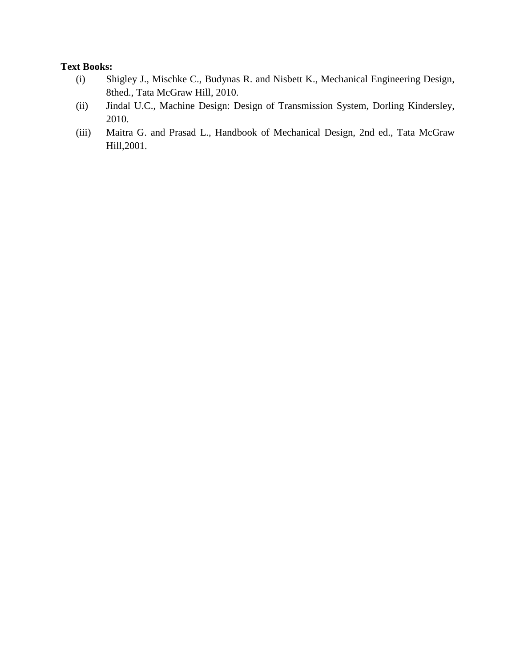- (i) Shigley J., Mischke C., Budynas R. and Nisbett K., Mechanical Engineering Design, 8thed., Tata McGraw Hill, 2010.
- (ii) Jindal U.C., Machine Design: Design of Transmission System, Dorling Kindersley, 2010.
- (iii) Maitra G. and Prasad L., Handbook of Mechanical Design, 2nd ed., Tata McGraw Hill,2001.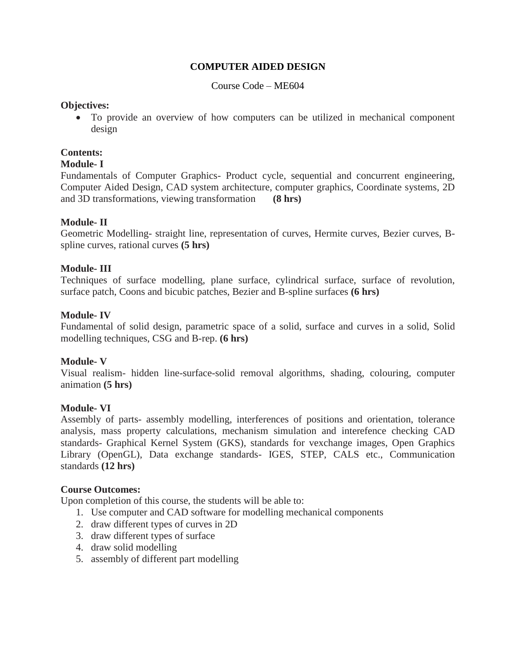#### **COMPUTER AIDED DESIGN**

Course Code – ME604

#### **Objectives:**

 To provide an overview of how computers can be utilized in mechanical component design

#### **Contents:**

# **Module- I**

Fundamentals of Computer Graphics- Product cycle, sequential and concurrent engineering, Computer Aided Design, CAD system architecture, computer graphics, Coordinate systems, 2D and 3D transformations, viewing transformation **(8 hrs)**

#### **Module- II**

Geometric Modelling- straight line, representation of curves, Hermite curves, Bezier curves, Bspline curves, rational curves **(5 hrs)**

#### **Module- III**

Techniques of surface modelling, plane surface, cylindrical surface, surface of revolution, surface patch, Coons and bicubic patches, Bezier and B-spline surfaces **(6 hrs)**

#### **Module- IV**

Fundamental of solid design, parametric space of a solid, surface and curves in a solid, Solid modelling techniques, CSG and B-rep. **(6 hrs)**

#### **Module- V**

Visual realism- hidden line-surface-solid removal algorithms, shading, colouring, computer animation **(5 hrs)**

#### **Module- VI**

Assembly of parts- assembly modelling, interferences of positions and orientation, tolerance analysis, mass property calculations, mechanism simulation and interefence checking CAD standards- Graphical Kernel System (GKS), standards for vexchange images, Open Graphics Library (OpenGL), Data exchange standards- IGES, STEP, CALS etc., Communication standards **(12 hrs)**

#### **Course Outcomes:**

Upon completion of this course, the students will be able to:

- 1. Use computer and CAD software for modelling mechanical components
- 2. draw different types of curves in 2D
- 3. draw different types of surface
- 4. draw solid modelling
- 5. assembly of different part modelling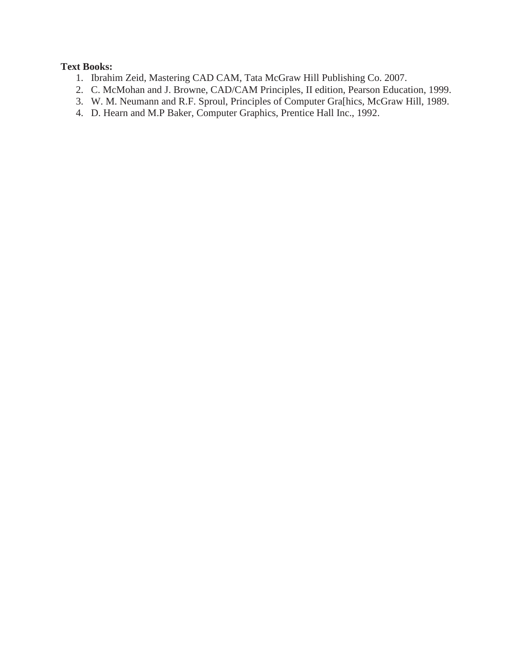- 1. Ibrahim Zeid, Mastering CAD CAM, Tata McGraw Hill Publishing Co. 2007.
- 2. C. McMohan and J. Browne, CAD/CAM Principles, II edition, Pearson Education, 1999.
- 3. W. M. Neumann and R.F. Sproul, Principles of Computer Gra[hics, McGraw Hill, 1989.
- 4. D. Hearn and M.P Baker, Computer Graphics, Prentice Hall Inc., 1992.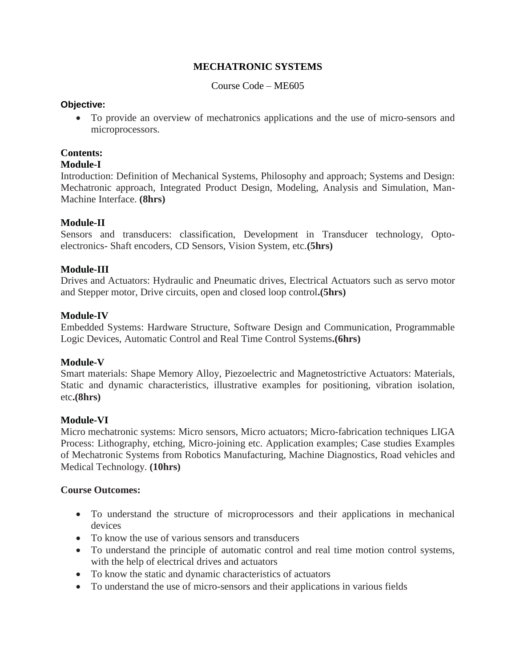# **MECHATRONIC SYSTEMS**

Course Code – ME605

#### **Objective:**

 To provide an overview of mechatronics applications and the use of micro-sensors and microprocessors.

#### **Contents:**

#### **Module-I**

Introduction: Definition of Mechanical Systems, Philosophy and approach; Systems and Design: Mechatronic approach, Integrated Product Design, Modeling, Analysis and Simulation, Man-Machine Interface. **(8hrs)**

#### **Module-II**

Sensors and transducers: classification, Development in Transducer technology, Optoelectronics- Shaft encoders, CD Sensors, Vision System, etc.**(5hrs)**

#### **Module-III**

Drives and Actuators: Hydraulic and Pneumatic drives, Electrical Actuators such as servo motor and Stepper motor, Drive circuits, open and closed loop control**.(5hrs)**

#### **Module-IV**

Embedded Systems: Hardware Structure, Software Design and Communication, Programmable Logic Devices, Automatic Control and Real Time Control Systems**.(6hrs)**

#### **Module-V**

Smart materials: Shape Memory Alloy, Piezoelectric and Magnetostrictive Actuators: Materials, Static and dynamic characteristics, illustrative examples for positioning, vibration isolation, etc**.(8hrs)**

#### **Module-VI**

Micro mechatronic systems: Micro sensors, Micro actuators; Micro-fabrication techniques LIGA Process: Lithography, etching, Micro-joining etc. Application examples; Case studies Examples of Mechatronic Systems from Robotics Manufacturing, Machine Diagnostics, Road vehicles and Medical Technology. **(10hrs)**

#### **Course Outcomes:**

- To understand the structure of microprocessors and their applications in mechanical devices
- To know the use of various sensors and transducers
- To understand the principle of automatic control and real time motion control systems, with the help of electrical drives and actuators
- To know the static and dynamic characteristics of actuators
- To understand the use of micro-sensors and their applications in various fields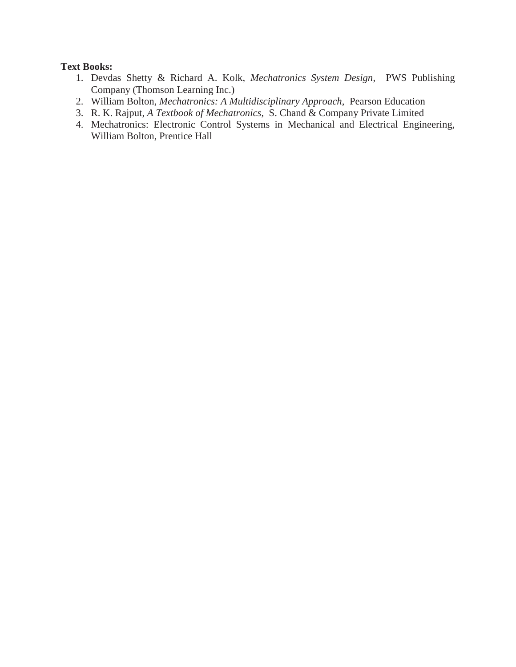- 1. Devdas Shetty & Richard A. Kolk, *Mechatronics System Design*, PWS Publishing Company (Thomson Learning Inc.)
- 2. William Bolton, *Mechatronics: A Multidisciplinary Approach*, Pearson Education
- 3. R. K. Rajput, *A Textbook of Mechatronics,* S. Chand & Company Private Limited
- 4. Mechatronics: Electronic Control Systems in Mechanical and Electrical Engineering, William Bolton, Prentice Hall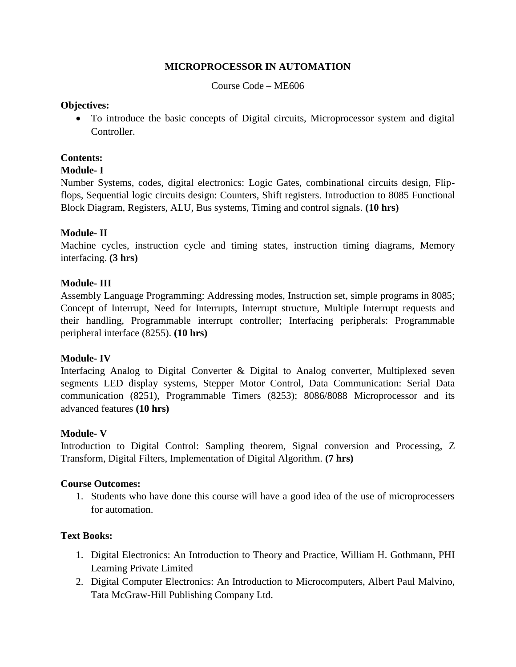# **MICROPROCESSOR IN AUTOMATION**

Course Code – ME606

#### **Objectives:**

 To introduce the basic concepts of Digital circuits, Microprocessor system and digital **Controller** 

# **Contents:**

# **Module- I**

Number Systems, codes, digital electronics: Logic Gates, combinational circuits design, Flipflops, Sequential logic circuits design: Counters, Shift registers. Introduction to 8085 Functional Block Diagram, Registers, ALU, Bus systems, Timing and control signals. **(10 hrs)**

# **Module- II**

Machine cycles, instruction cycle and timing states, instruction timing diagrams, Memory interfacing. **(3 hrs)**

# **Module- III**

Assembly Language Programming: Addressing modes, Instruction set, simple programs in 8085; Concept of Interrupt, Need for Interrupts, Interrupt structure, Multiple Interrupt requests and their handling, Programmable interrupt controller; Interfacing peripherals: Programmable peripheral interface (8255). **(10 hrs)**

# **Module- IV**

Interfacing Analog to Digital Converter & Digital to Analog converter, Multiplexed seven segments LED display systems, Stepper Motor Control, Data Communication: Serial Data communication (8251), Programmable Timers (8253); 8086/8088 Microprocessor and its advanced features **(10 hrs)**

#### **Module- V**

Introduction to Digital Control: Sampling theorem, Signal conversion and Processing, Z Transform, Digital Filters, Implementation of Digital Algorithm. **(7 hrs)**

# **Course Outcomes:**

1. Students who have done this course will have a good idea of the use of microprocessers for automation.

- 1. Digital Electronics: An Introduction to Theory and Practice, William H. Gothmann, PHI Learning Private Limited
- 2. Digital Computer Electronics: An Introduction to Microcomputers, Albert Paul Malvino, Tata McGraw-Hill Publishing Company Ltd.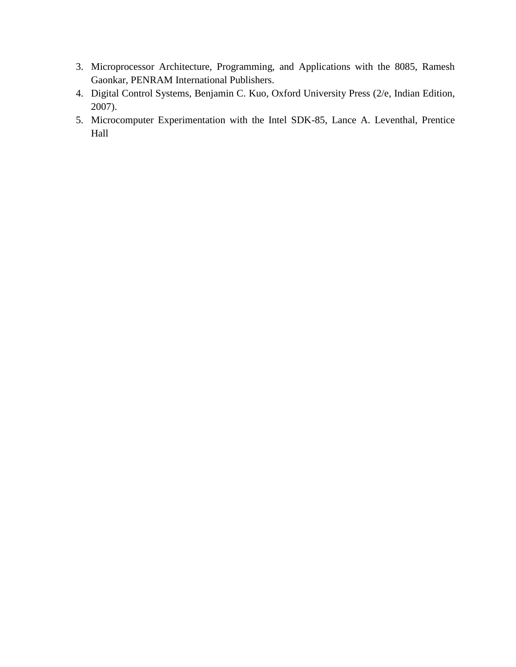- 3. Microprocessor Architecture, Programming, and Applications with the 8085, Ramesh Gaonkar, PENRAM International Publishers.
- 4. Digital Control Systems, Benjamin C. Kuo, Oxford University Press (2/e, Indian Edition, 2007).
- 5. Microcomputer Experimentation with the Intel SDK-85, Lance A. Leventhal, Prentice Hall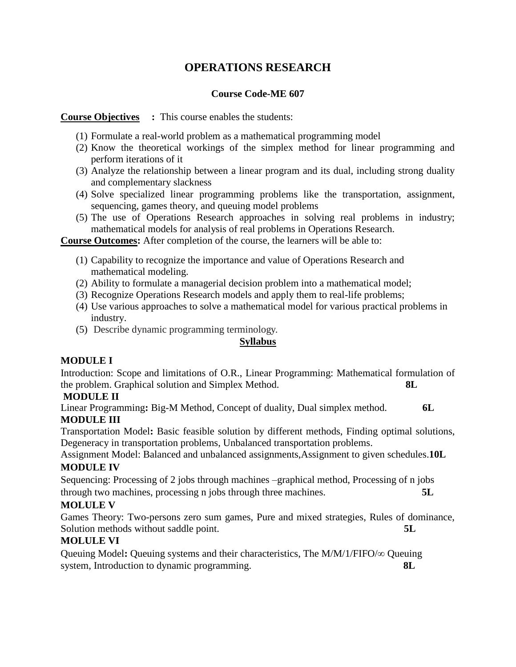# **OPERATIONS RESEARCH**

#### **Course Code-ME 607**

# **Course Objectives :** This course enables the students:

- (1) Formulate a real-world problem as a mathematical programming model
- (2) Know the theoretical workings of the simplex method for linear programming and perform iterations of it
- (3) Analyze the relationship between a linear program and its dual, including strong duality and complementary slackness
- (4) Solve specialized linear programming problems like the transportation, assignment, sequencing, games theory, and queuing model problems
- (5) The use of Operations Research approaches in solving real problems in industry; mathematical models for analysis of real problems in Operations Research.

**Course Outcomes:** After completion of the course, the learners will be able to:

- (1) Capability to recognize the importance and value of Operations Research and mathematical modeling.
- (2) Ability to formulate a managerial decision problem into a mathematical model;
- (3) Recognize Operations Research models and apply them to real-life problems;
- (4) Use various approaches to solve a mathematical model for various practical problems in industry.
- (5) Describe dynamic programming terminology.

# **Syllabus**

# **MODULE I**

Introduction: Scope and limitations of O.R., Linear Programming: Mathematical formulation of the problem. Graphical solution and Simplex Method. **8L**

# **MODULE II**

Linear Programming**:** Big-M Method, Concept of duality, Dual simplex method. **6L MODULE III**

Transportation Model**:** Basic feasible solution by different methods, Finding optimal solutions, Degeneracy in transportation problems, Unbalanced transportation problems.

Assignment Model: Balanced and unbalanced assignments,Assignment to given schedules.**10L MODULE IV**

Sequencing: Processing of 2 jobs through machines –graphical method, Processing of n jobs through two machines, processing n jobs through three machines. **5L**

# **MOLULE V**

Games Theory: Two-persons zero sum games, Pure and mixed strategies, Rules of dominance, Solution methods without saddle point. **5L** 

# **MOLULE VI**

Queuing Model: Queuing systems and their characteristics, The  $M/M/1/FIFO/\infty$  Queuing system, Introduction to dynamic programming. **8L**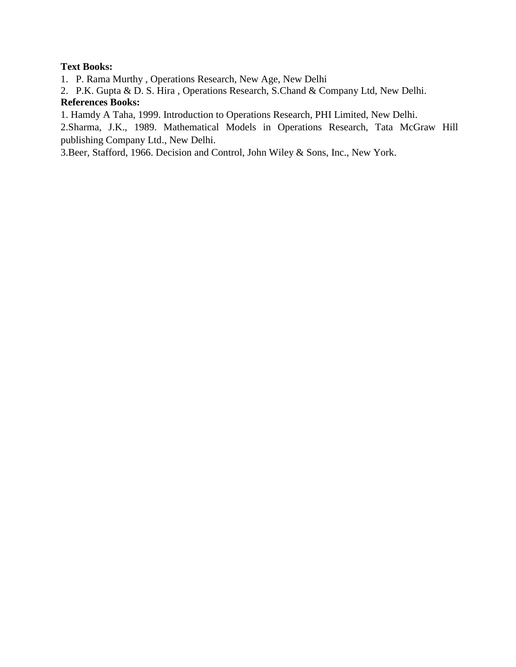# **Text Books:**

- 1. P. Rama Murthy , Operations Research, New Age, New Delhi
- 2. P.K. Gupta & D. S. Hira , Operations Research, S.Chand & Company Ltd, New Delhi.

# **References Books:**

1. Hamdy A Taha, 1999. Introduction to Operations Research, PHI Limited, New Delhi.

2.Sharma, J.K., 1989. Mathematical Models in Operations Research, Tata McGraw Hill publishing Company Ltd., New Delhi.

3.Beer, Stafford, 1966. Decision and Control, John Wiley & Sons, Inc., New York.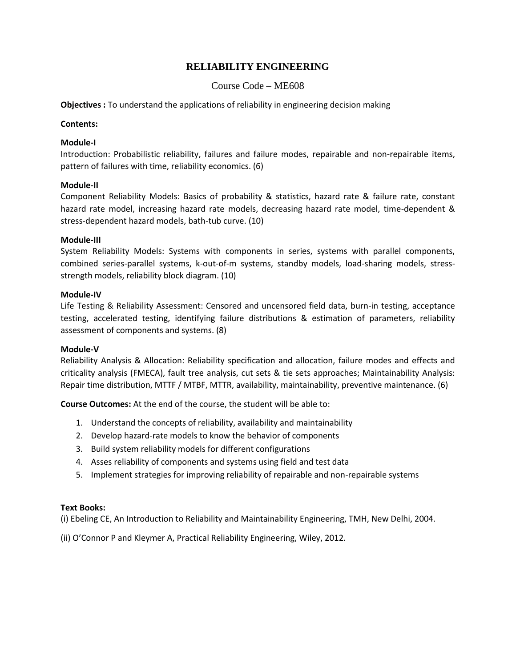#### **RELIABILITY ENGINEERING**

#### Course Code – ME608

**Objectives :** To understand the applications of reliability in engineering decision making

#### **Contents:**

#### **Module-I**

Introduction: Probabilistic reliability, failures and failure modes, repairable and non-repairable items, pattern of failures with time, reliability economics. (6)

#### **Module-II**

Component Reliability Models: Basics of probability & statistics, hazard rate & failure rate, constant hazard rate model, increasing hazard rate models, decreasing hazard rate model, time-dependent & stress-dependent hazard models, bath-tub curve. (10)

#### **Module-III**

System Reliability Models: Systems with components in series, systems with parallel components, combined series-parallel systems, k-out-of-m systems, standby models, load-sharing models, stressstrength models, reliability block diagram. (10)

#### **Module-IV**

Life Testing & Reliability Assessment: Censored and uncensored field data, burn-in testing, acceptance testing, accelerated testing, identifying failure distributions & estimation of parameters, reliability assessment of components and systems. (8)

#### **Module-V**

Reliability Analysis & Allocation: Reliability specification and allocation, failure modes and effects and criticality analysis (FMECA), fault tree analysis, cut sets & tie sets approaches; Maintainability Analysis: Repair time distribution, MTTF / MTBF, MTTR, availability, maintainability, preventive maintenance. (6)

**Course Outcomes:** At the end of the course, the student will be able to:

- 1. Understand the concepts of reliability, availability and maintainability
- 2. Develop hazard-rate models to know the behavior of components
- 3. Build system reliability models for different configurations
- 4. Asses reliability of components and systems using field and test data
- 5. Implement strategies for improving reliability of repairable and non-repairable systems

#### **Text Books:**

(i) Ebeling CE, An Introduction to Reliability and Maintainability Engineering, TMH, New Delhi, 2004.

(ii) O'Connor P and Kleymer A, Practical Reliability Engineering, Wiley, 2012.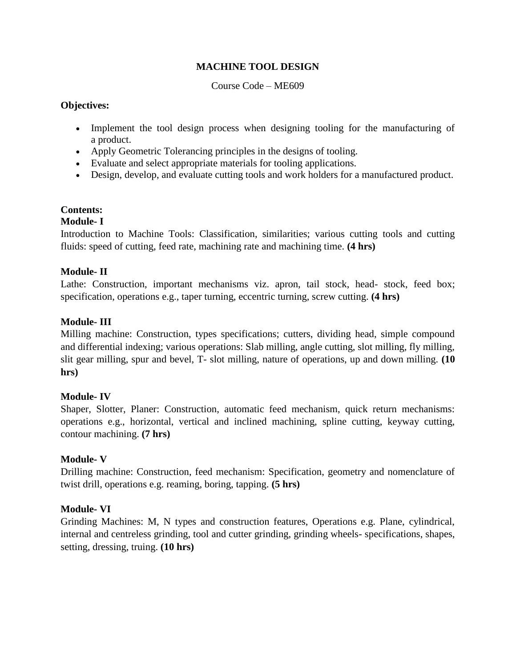# **MACHINE TOOL DESIGN**

#### Course Code – ME609

#### **Objectives:**

- Implement the tool design process when designing tooling for the manufacturing of a product.
- Apply Geometric Tolerancing principles in the designs of tooling.
- Evaluate and select appropriate materials for tooling applications.
- Design, develop, and evaluate cutting tools and work holders for a manufactured product.

#### **Contents:**

#### **Module- I**

Introduction to Machine Tools: Classification, similarities; various cutting tools and cutting fluids: speed of cutting, feed rate, machining rate and machining time. **(4 hrs)**

#### **Module- II**

Lathe: Construction, important mechanisms viz. apron, tail stock, head- stock, feed box; specification, operations e.g., taper turning, eccentric turning, screw cutting. **(4 hrs)**

#### **Module- III**

Milling machine: Construction, types specifications; cutters, dividing head, simple compound and differential indexing; various operations: Slab milling, angle cutting, slot milling, fly milling, slit gear milling, spur and bevel, T- slot milling, nature of operations, up and down milling. **(10 hrs)**

#### **Module- IV**

Shaper, Slotter, Planer: Construction, automatic feed mechanism, quick return mechanisms: operations e.g., horizontal, vertical and inclined machining, spline cutting, keyway cutting, contour machining. **(7 hrs)**

#### **Module- V**

Drilling machine: Construction, feed mechanism: Specification, geometry and nomenclature of twist drill, operations e.g. reaming, boring, tapping. **(5 hrs)**

#### **Module- VI**

Grinding Machines: M, N types and construction features, Operations e.g. Plane, cylindrical, internal and centreless grinding, tool and cutter grinding, grinding wheels- specifications, shapes, setting, dressing, truing. **(10 hrs)**